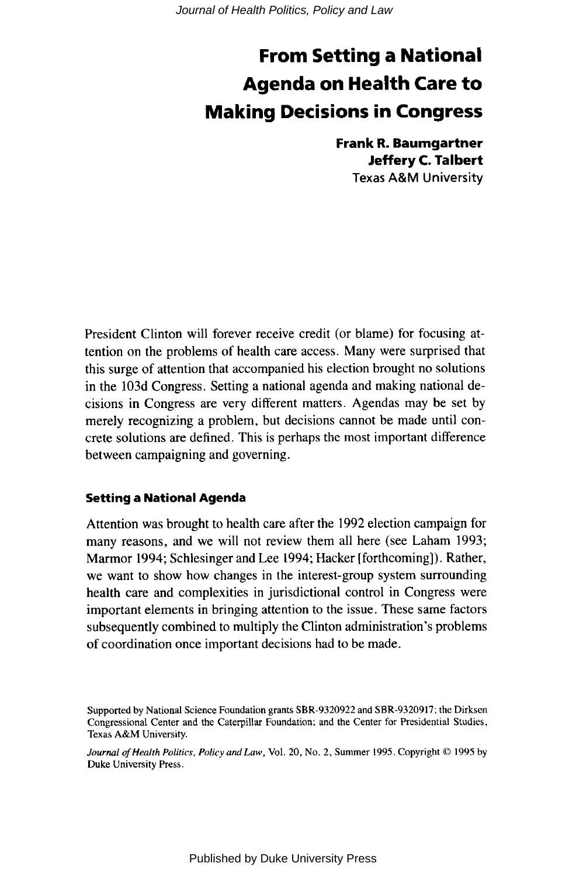# **From Setting a National Agenda on Health Care to Making Decisions in Congress**

**Frank R. Baumgartner Jeffery C. Talbert Texas A&M University** 

President Clinton will forever receive credit (or blame) for focusing attention on the problems of health care access. Many were surprised that this surge of attention that accompanied his election brought no solutions in the 103d Congress. Setting a national agenda and making national decisions in Congress are very different matters. Agendas may be set by merely recognizing a problem, but decisions cannot be made until concrete solutions are defined. This is perhaps the most important difference between campaigning and governing.

# **Setting a National Agenda**

Attention was brought to health care after the 1992 election campaign for many reasons, and we will not review them all here (see Laham 1993; Marmor 1994; Schlesinger and Lee 1994; Hacker [forthcoming]). Rather, we want to show how changes in the interest-group system surrounding health care and complexities in jurisdictional control in Congress were important elements in bringing attention to the issue. These same factors subsequently combined to multiply the Clinton administration's problems of coordination once important decisions had to be made.

Supported by National Science Foundation grants SBR-9320922 and SBR-9320917; the **Dirksen**  Congressional Center and the Caterpillar Foundation; and the Center for Presidential Studies, Texas **A&M** University.

*Journal of Health Politics, Policy and Law, Vol. 20, No. 2, Summer 1995. Copyright © 1995 by* **Duke** University Press.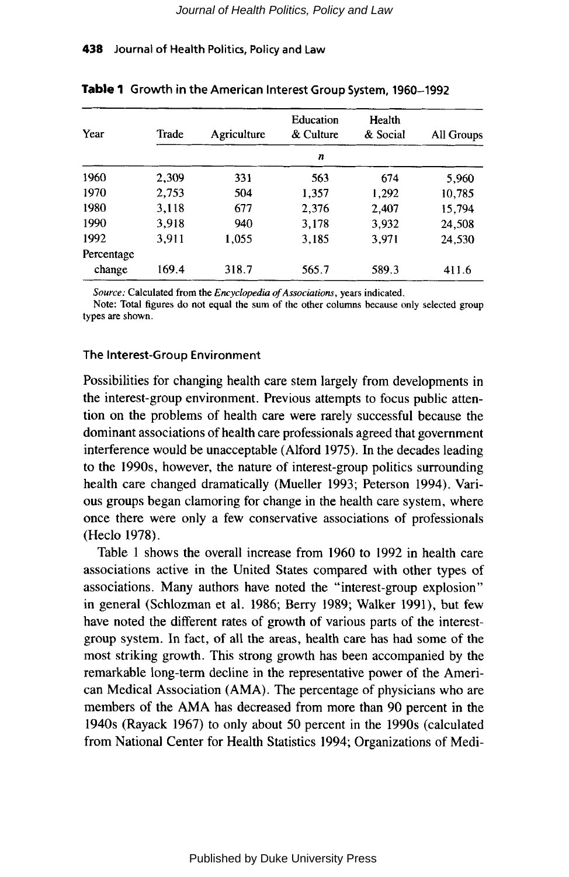| Year       | Trade | Agriculture | Education<br>& Culture | Health<br>& Social | All Groups |  |  |
|------------|-------|-------------|------------------------|--------------------|------------|--|--|
|            | n     |             |                        |                    |            |  |  |
| 1960       | 2.309 | 331         | 563                    | 674                | 5,960      |  |  |
| 1970       | 2,753 | 504         | 1,357                  | 1,292              | 10.785     |  |  |
| 1980       | 3,118 | 677         | 2.376                  | 2,407              | 15.794     |  |  |
| 1990       | 3.918 | 940         | 3,178                  | 3,932              | 24,508     |  |  |
| 1992       | 3.911 | 1,055       | 3.185                  | 3,971              | 24,530     |  |  |
| Percentage |       |             |                        |                    |            |  |  |
| change     | 169.4 | 318.7       | 565.7                  | 589.3              | 411.6      |  |  |

#### **Table 1 Growth in the American Interest Group System, 1960-1992**

*Source:* **Calculated from the** *Encyclopedia of Associations,* **years indicated.** 

**Note: Total figures do not equal the sum of the other columns because only selected group types are shown.** 

#### **The Interest-Group Environment**

Possibilities for changing health care stem largely from developments in the interest-group environment. Previous attempts to focus public attention on the problems of health care were rarely successful because the dominant associations of health care professionals agreed that government interference would be unacceptable (Alford **1975).** In the decades leading to the **1990s,** however, the nature of interest-group politics surrounding health care changed dramatically (Mueller **1993;** Peterson **1994).** Various groups began clamoring for change in the health care system, where once there were only a few conservative associations of professionals (Heclo **1978).** 

Table 1 shows the overall increase from **1960** to **1992** in health care associations active in the United States compared with other types of associations. Many authors have noted the "interest-group explosion" in general (Schlozman et al. **1986;** Berry 1989; Walker **1991),** but few have noted the different rates of growth of various parts of the interestgroup system. In fact, of all the areas, health care has had some of the most striking growth. This strong growth has been accompanied by the remarkable long-term decline in the representative power of the American Medical Association (AMA). The percentage of physicians who are members of the AMA has decreased from more than **90** percent in the **1940s** (Rayack **1967)** to only about 50 percent in the **1990s** (calculated from National Center for Health Statistics **1994;** Organizations of Medi-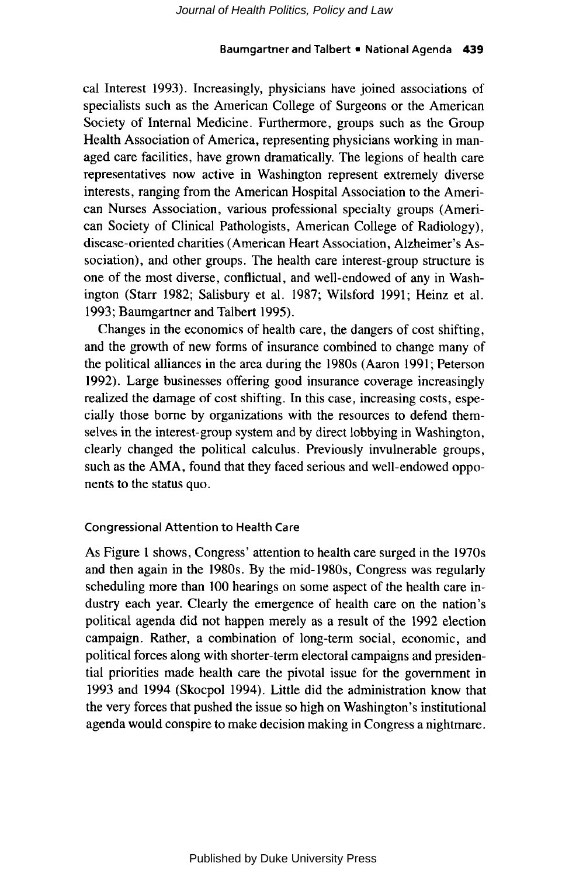## **Baumgartner and Talbert** . **National Agenda 439**

cal Interest 1993). Increasingly, physicians have joined associations of specialists such as the American College of Surgeons or the American Society of Internal Medicine. Furthermore, groups such as the Group Health Association of America, representing physicians working in managed care facilities, have grown dramatically. The legions of health care representatives now active in Washington represent extremely diverse interests, ranging from the American Hospital Association to the American Nurses Association, various professional specialty groups (American Society of Clinical Pathologists, American College of Radiology), disease-oriented charities (American Heart Association, Alzheimer's Association), and other groups. The health care interest-group structure is one of the most diverse, conflictual, and well-endowed of any in Washington (Starr 1982; Salisbury et al. 1987; Wilsford 1991; Heinz et al. 1993; Baumgartner and Talbert 1995).

Changes in the economics of health care, the dangers of cost shifting, and the growth of new forms of insurance combined to change many of the political alliances in the area during the 1980s (Aaron 1991; Peterson 1992). Large businesses offering good insurance coverage increasingly realized the damage of cost shifting. In this case, increasing costs, especially those borne by organizations with the resources to defend themselves in the interest-group system and by direct lobbying in Washington, clearly changed the political calculus. Previously invulnerable groups, such as the AMA, found that they faced serious and well-endowed opponents to the status quo.

## **Congressional Attention to Health Care**

**As** Figure 1 shows, Congress' attention to health care surged in the 1970s and then again in the 1980s. By the mid-l980s, Congress was regularly scheduling more than 100 hearings on some aspect of the health care industry each year. Clearly the emergence of health care on the nation's political agenda did not happen merely as a result of the 1992 election campaign. Rather, a combination of long-term social, economic, and political forces along with shorter-term electoral campaigns and presidential priorities made health care the pivotal issue for the government in 1993 and 1994 (Skocpol 1994). Little did the administration know that the very forces that pushed the issue so high on Washington's institutional agenda would conspire to make decision making in Congress a nightmare.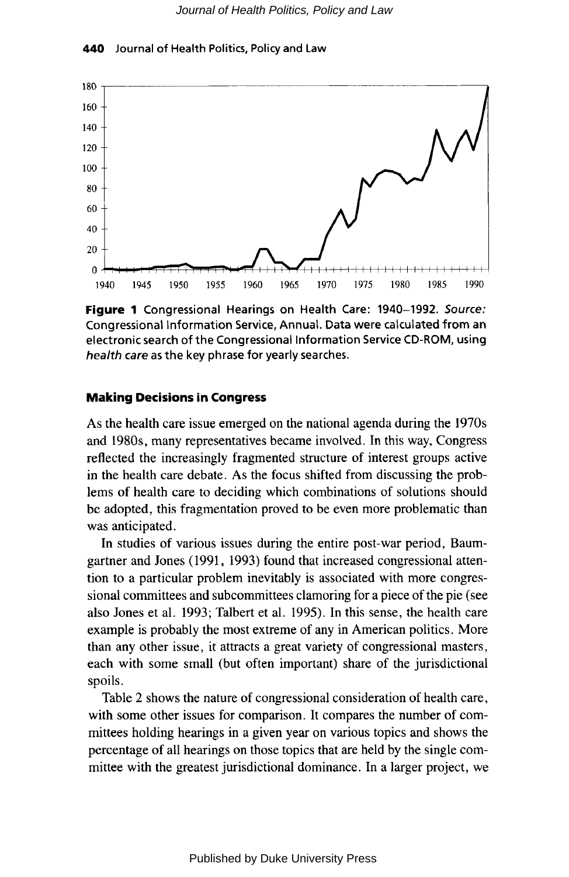

Figure 1 Congressional Hearings on Health Care: 1940-1992. Source: Congressional Information Service, Annual. Data were calculated from an electronic search of the Congressional Information Service CD-ROM, using *health care* as the key phrase for yearly searches.

## **Making Decisions in Congress**

**As** the health care issue emerged on the national agenda during the 1970s and **1980s,** many representatives became involved. In this way, Congress reflected the increasingly fragmented structure of interest groups active in the health care debate. **As** the focus shifted from discussing the problems of health care to deciding which combinations of solutions should be adopted, this fragmentation proved to be even more problematic than was anticipated.

In studies of various issues during the entire post-war period, Baumgartner and Jones (1991, 1993) found that increased congressional attention to a particular problem inevitably is associated with more congressional committees and subcommittees clamoring for a piece of the pie (see also Jones et al. 1993; Talbert et al. 1995). In this sense, the health care example is probably the most extreme of any in American politics. More than any other issue, it attracts a great variety of congressional masters, each with some small (but often important) share of the jurisdictional spoils.

Table 2 shows the nature of congressional consideration of health care, with some other issues for comparison. It compares the number of committees holding hearings in a given year on various topics and shows the percentage of all hearings on those topics that are held by the single committee with the greatest jurisdictional dominance. In a larger project, we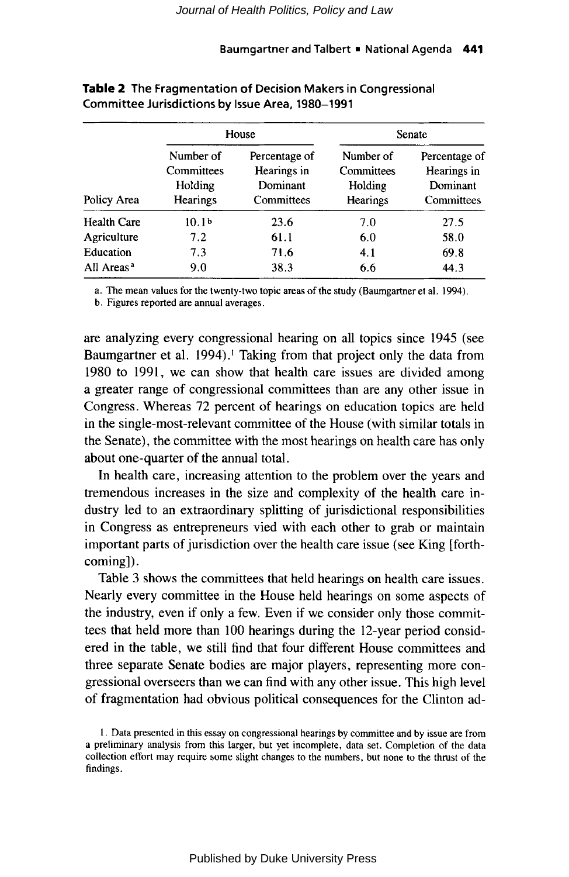|                        |                                                | House                                                  | Senate                                                |                                                        |
|------------------------|------------------------------------------------|--------------------------------------------------------|-------------------------------------------------------|--------------------------------------------------------|
| Policy Area            | Number of<br>Committees<br>Holding<br>Hearings | Percentage of<br>Hearings in<br>Dominant<br>Committees | Number of<br>Committees<br>Holding<br><b>Hearings</b> | Percentage of<br>Hearings in<br>Dominant<br>Committees |
| <b>Health Care</b>     | 10.1 <sub>b</sub>                              | 23.6                                                   | 7.0                                                   | 27.5                                                   |
| Agriculture            | 7.2                                            | 61.1                                                   | 6.0                                                   | 58.0                                                   |
| Education              | 7.3                                            | 71.6                                                   | 4.1                                                   | 69.8                                                   |
| All Areas <sup>a</sup> | 9.0                                            | 38.3                                                   | 6.6                                                   | 44.3                                                   |

**Table 2 The Fragmentation of Decision Makers in Congressional Committee Jurisdictions by Issue Area, 1980-1991** 

**a. The mean values for the twenty-two topic areas of the study (Baumgartner et al. 1994)** 

**b. Figures reported are annual averages.** 

are analyzing every congressional hearing on all topics since 1945 (see Baumgartner et al. 1994).<sup>1</sup> Taking from that project only the data from 1980 to 1991, we can show that health care issues are divided among a greater range of congressional committees than are any other issue in Congress. Whereas **72** percent of hearings on education topics are held in the single-most-relevant committee of the House (with similar totals in the Senate), the committee with the most hearings on health care has only about one-quarter of the annual total.

In health care, increasing attention to the problem over the years and tremendous increases in the size and complexity of the health care industry led to an extraordinary splitting of jurisdictional responsibilities in Congress as entrepreneurs vied with each other to grab or maintain important parts of jurisdiction over the health care issue (see King [forthcoming]).

Table **3** shows the committees that held hearings on health care issues. Nearly every committee in the House held hearings on some aspects of the industry, even if only a few. Even if we consider only those committees that held more than 100 hearings during the 12-year period considered in the table, we still find that four different House committees and three separate Senate bodies are major players, representing more congressional overseers than we can find with any other issue. This high level of fragmentation had obvious political consequences for the Clinton ad-

**I. Data presented in this essay on congressional hearings by committee and by issue are from a preliminary analysis from this larger, but yet incomplete, data set. Completion of the data collection effort may require some slight changes to the numbers, but none to the thrust of the findings.**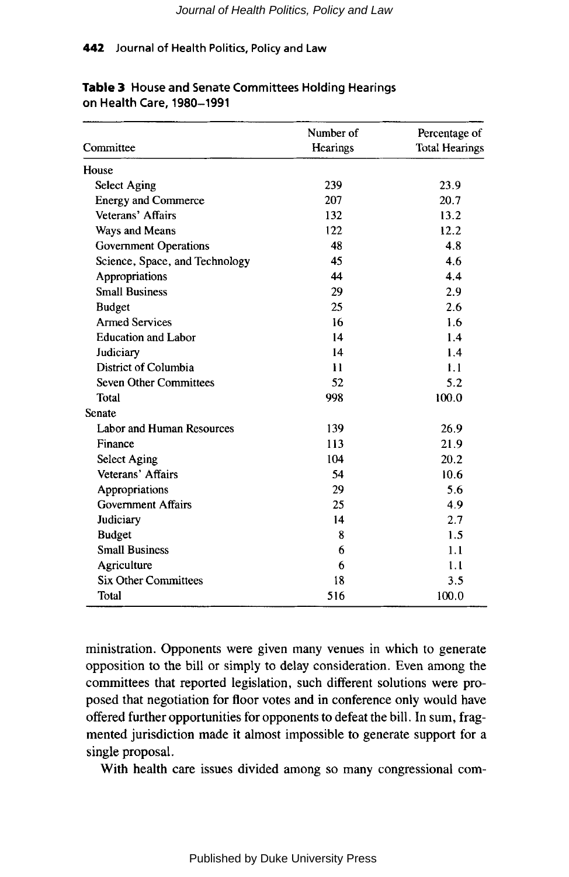| Committee                        | Number of | Percentage of         |
|----------------------------------|-----------|-----------------------|
|                                  | Hearings  | <b>Total Hearings</b> |
| House                            |           |                       |
| <b>Select Aging</b>              | 239       | 23.9                  |
| <b>Energy and Commerce</b>       | 207       | 20.7                  |
| Veterans' Affairs                | 132       | 13.2                  |
| Ways and Means                   | 122       | 12.2                  |
| Government Operations            | 48        | 4.8                   |
| Science, Space, and Technology   | 45        | 4.6                   |
| Appropriations                   | 44        | 4.4                   |
| <b>Small Business</b>            | 29        | 2.9                   |
| <b>Budget</b>                    | 25        | 2.6                   |
| <b>Armed Services</b>            | 16        | 1.6                   |
| <b>Education and Labor</b>       | 14        | 1.4                   |
| Judiciary                        | 14        | 1.4                   |
| District of Columbia             | 11        | 1.1                   |
| <b>Seven Other Committees</b>    | 52        | 5.2                   |
| Total                            | 998       | 100.0                 |
| Senate                           |           |                       |
| <b>Labor and Human Resources</b> | 139       | 26.9                  |
| Finance                          | 113       | 21.9                  |
| <b>Select Aging</b>              | 104       | 20.2                  |
| Veterans' Affairs                | 54        | 10.6                  |
| Appropriations                   | 29        | 5.6                   |
| <b>Government Affairs</b>        | 25        | 4.9                   |
| Judiciary                        | 14        | 2.7                   |
| <b>Budget</b>                    | 8         | 1.5                   |
| <b>Small Business</b>            | 6         | 1.1                   |
| Agriculture                      | 6         | 1.1                   |
| <b>Six Other Committees</b>      | 18        | 3.5                   |
| <b>Total</b>                     | 516       | 100.0                 |

## **Table 3 House and Senate Committees Holding Hearings on Health Care, 1980-1991**

ministration. Opponents were given many venues in which to generate opposition to the bill or simply to delay consideration. Even among the committees that reported legislation, such different solutions were proposed that negotiation for floor votes and in conference only would have offered further opportunities for opponents to defeat the bill. In sum, fragmented jurisdiction made it almost impossible to generate support for a single proposal.

With health care issues divided among so many congressional com-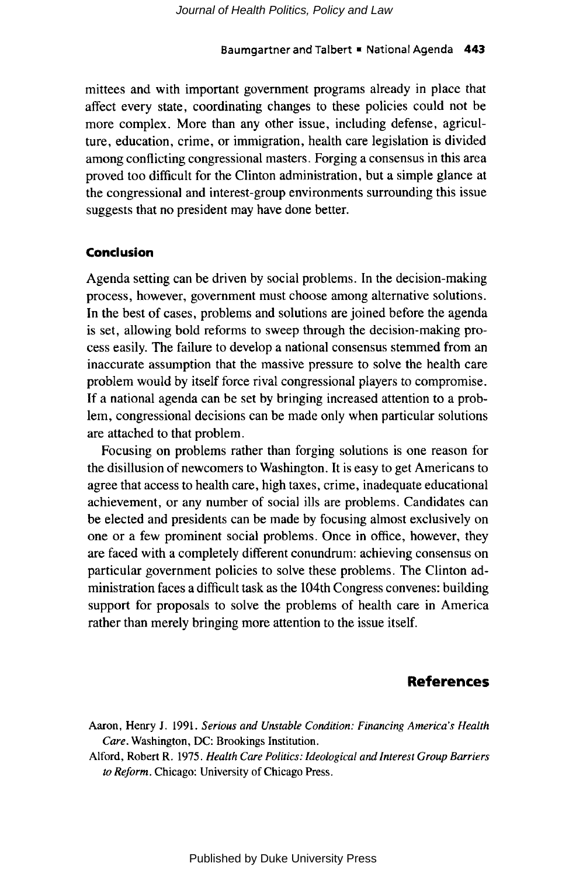mittees and with important government programs already in place that affect every state, coordinating changes to these policies could not be more complex. More than any other issue, including defense, agriculture, education, crime, or immigration, health care legislation is divided among conflicting congressional masters. Forging a consensus in this area proved too difficult for the Clinton administration, but a simple glance at the congressional and interest-group environments surrounding this issue suggests that no president may have done better.

#### **Conclusion**

Agenda setting can be driven by social problems. In the decision-making process, however, government must choose among alternative solutions. In the best of cases, problems and solutions are joined before the agenda is set, allowing bold reforms to sweep through the decision-making process easily. The failure to develop a national consensus stemmed from an inaccurate assumption that the massive pressure to solve the health care problem would by itself force rival congressional players to compromise. If a national agenda can be set by bringing increased attention to a problem, congressional decisions can be made only when particular solutions are attached to that problem.

Focusing on problems rather than forging solutions is one reason for the disillusion of newcomers to Washington. It is easy to get Americans to agree that access to health care, high taxes, crime, inadequate educational achievement, or any number of social ills are problems. Candidates can be elected and presidents can be made by focusing almost exclusively on one or a few prominent social problems. Once in office, however, they are faced with a completely different conundrum: achieving consensus on particular government policies to solve these problems. The Clinton administration faces a difficult task as the 104th Congress convenes: building support for proposals to solve the problems of health care in America rather than merely bringing more attention to the issue itself.

# **References**

**Aaron, Henry** J. **1991.** *Serious and Unstable Condition: Financing America's Health Care.* **Washington, DC: Brookings Institution.** 

**Alford, Robert R. 1975.** *Health Care Politics: Ideological and Interest Group Barriers to Reform.* **Chicago: University of Chicago** Press.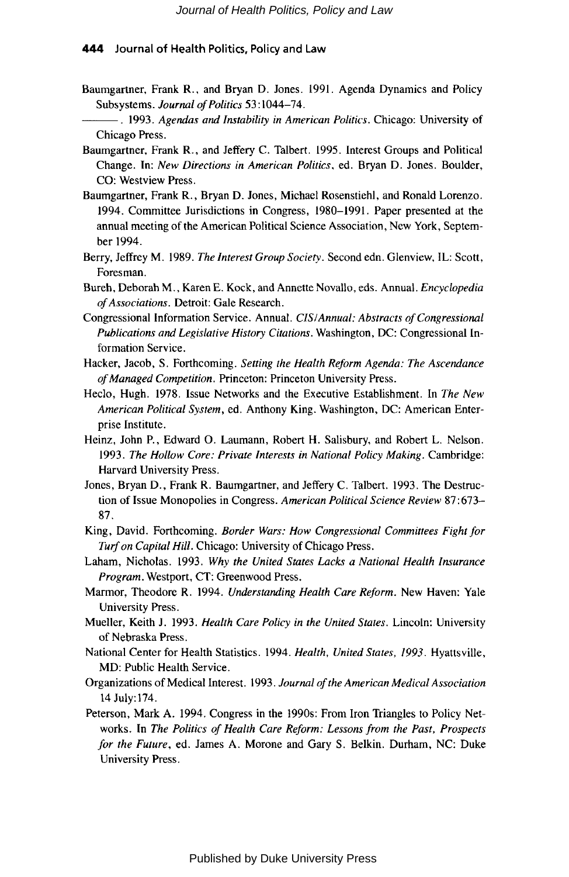- Baumgartner, Frank R., and Bryan D. Jones. 1991. Agenda Dynamics and Policy Subsystems. *Journal of Politics* 53: 1044-74.
- . 1993. *Agendas and Instability in American Politics.* Chicago: University *of*  Chicago Press.
- Baumgartner, Frank R., and Jeffery C. Talbert. 1995. Interest Groups and Political Change. In: *New Directions in American Politics.* ed. Bryan D. Jones. Boulder, CO: Westview Press.
- Baumgartner, Frank R., Bryan D. Jones, Michael Rosenstiehl, and Ronald Lorenzo. 1994. Committee Jurisdictions in Congress, 1980-1991. Paper presented at the annual meeting of the American Political Science Association, New York, September 1994.
- Berry, Jeffrey M. 1989. *The Interest Group Society.* Second edn. Glenview, IL: Scott, Foresman.
- Bureh, Deborah M., Karen E. Kock, and Annette Novallo, eds. Annual. *Encyclopedia of Associations.* Detroit: Gale Research.
- Congressional Information Service. Annual. *CISIAnnual: Abstracts of Congressional Publications and Legislative History Citations.* Washington, DC: Congressional Information Service.
- Hacker, Jacob, S. Forthcoming. *Setting the Health Reform Agenda: The Ascendance of Managed Competition.* Princeton: Princeton University Press.
- Heclo, Hugh. 1978. Issue Networks and the Executive Establishment. In *The New American Political System,* ed. Anthony King. Washington, DC: American Enterprise Institute.
- Heinz, John P., Edward 0. Laumann, Robert H. Salisbury, and Robert L. Nelson. 1993. *The* Hollow *Core: Private Interests in National Policy Making.* Cambridge: Harvard University Press.
- Jones, Bryan D., Frank R. Baumgartner, and Jeffery C. Talbert. 1993. The Destruction of Issue Monopolies in Congress. *American Political Science Review 87:* 673- *87.*
- King, David. Forthcoming. *Border Wars: How Congressional Committees Fight for Turf on Capital Hill.* Chicago: University of Chicago Press.
- Laham, Nicholas. 1993. *Why the United States Lacks a National Health Insurance Program.* Westport, CT: Greenwood Press.
- Marmor, Theodore R. 1994. *Understanding Health Care Reform.* New Haven: Yale University Press.
- Mueller, Keith J. 1993. *Health Care Policy in the United States.* Lincoln: University *of* Nebraska Press.
- National Center for Health Statistics. 1994. *Health, United States, 1993.* Hyattsville, MD: Public Health Service.
- Organizations of Medical Interest. 1993. *Journal of the American Medical Association*  14 July:174.
- Peterson, Mark A. 1994. Congress in the 1990s: From Iron Triangles to Policy Networks. In *The Politics of Health Care Reform: Lessons from the Past, Prospects for the Future,* ed. James A. Morone and Gary S. Belkin. Durham, NC: Duke University Press.